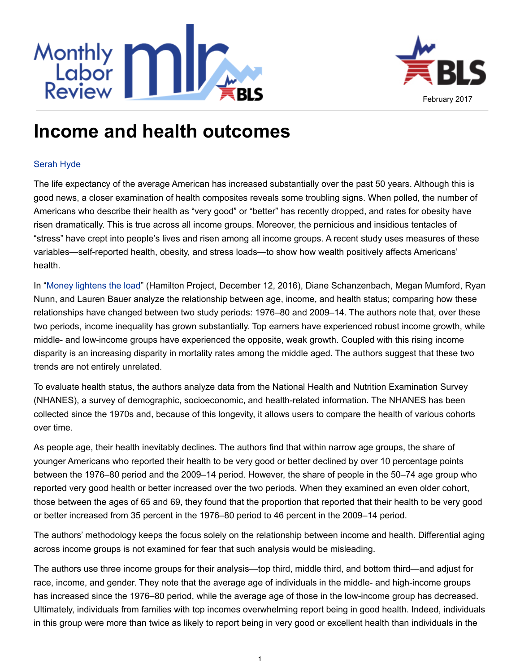



## **Income and health outcomes**

## [Serah Hyde](http://www.bls.gov/opub/mlr/author/hyde-serah.htm)

The life expectancy of the average American has increased substantially over the past 50 years. Although this is good news, a closer examination of health composites reveals some troubling signs. When polled, the number of Americans who describe their health as "very good" or "better" has recently dropped, and rates for obesity have risen dramatically. This is true across all income groups. Moreover, the pernicious and insidious tentacles of "stress" have crept into people's lives and risen among all income groups. A recent study uses measures of these variables—self-reported health, obesity, and stress loads—to show how wealth positively affects Americans' health.

In "[Money lightens the load](https://www.brookings.edu/research/money-lightens-the-load/)" (Hamilton Project, December 12, 2016), Diane Schanzenbach, Megan Mumford, Ryan Nunn, and Lauren Bauer analyze the relationship between age, income, and health status; comparing how these relationships have changed between two study periods: 1976–80 and 2009–14. The authors note that, over these two periods, income inequality has grown substantially. Top earners have experienced robust income growth, while middle- and low-income groups have experienced the opposite, weak growth. Coupled with this rising income disparity is an increasing disparity in mortality rates among the middle aged. The authors suggest that these two trends are not entirely unrelated.

To evaluate health status, the authors analyze data from the National Health and Nutrition Examination Survey (NHANES), a survey of demographic, socioeconomic, and health-related information. The NHANES has been collected since the 1970s and, because of this longevity, it allows users to compare the health of various cohorts over time.

As people age, their health inevitably declines. The authors find that within narrow age groups, the share of younger Americans who reported their health to be very good or better declined by over 10 percentage points between the 1976–80 period and the 2009–14 period. However, the share of people in the 50–74 age group who reported very good health or better increased over the two periods. When they examined an even older cohort, those between the ages of 65 and 69, they found that the proportion that reported that their health to be very good or better increased from 35 percent in the 1976–80 period to 46 percent in the 2009–14 period.

The authors' methodology keeps the focus solely on the relationship between income and health. Differential aging across income groups is not examined for fear that such analysis would be misleading.

The authors use three income groups for their analysis—top third, middle third, and bottom third—and adjust for race, income, and gender. They note that the average age of individuals in the middle- and high-income groups has increased since the 1976–80 period, while the average age of those in the low-income group has decreased. Ultimately, individuals from families with top incomes overwhelming report being in good health. Indeed, individuals in this group were more than twice as likely to report being in very good or excellent health than individuals in the